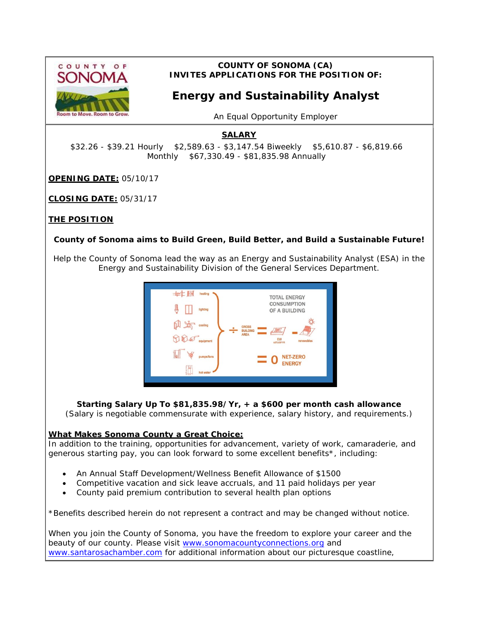

### **COUNTY OF SONOMA (CA) INVITES APPLICATIONS FOR THE POSITION OF:**

# **Energy and Sustainability Analyst**

*An Equal Opportunity Employer*

## **SALARY**

\$32.26 - \$39.21 Hourly \$2,589.63 - \$3,147.54 Biweekly \$5,610.87 - \$6,819.66 Monthly \$67,330.49 - \$81,835.98 Annually

**OPENING DATE:** 05/10/17

**CLOSING DATE:** 05/31/17

#### **THE POSITION**

#### **County of Sonoma aims to Build Green, Build Better, and Build a Sustainable Future!**

Help the County of Sonoma lead the way as an Energy and Sustainability Analyst (ESA) in the Energy and Sustainability Division of the General Services Department.



**Starting Salary Up To \$81,835.98/Yr,** *+* **a \$600 per month cash allowance** (Salary is negotiable commensurate with experience, salary history, and requirements.)

#### **What Makes Sonoma County a Great Choice:**

In addition to the training, opportunities for advancement, variety of work, camaraderie, and generous starting pay, you can look forward to some excellent benefits\*, including:

- An Annual Staff Development/Wellness Benefit Allowance of \$1500
- Competitive vacation and sick leave accruals, and 11 paid holidays per year
- County paid premium contribution to several health plan options

\*Benefits described herein do not represent a contract and may be changed without notice.

When you join the County of Sonoma, you have the freedom to explore your career and the beauty of our county. Please visit [www.sonomacountyconnections.org](http://www.sonomacountyconnections.org/) and [www.santarosachamber.com](http://www.santarosachamber.com/) for additional information about our picturesque coastline,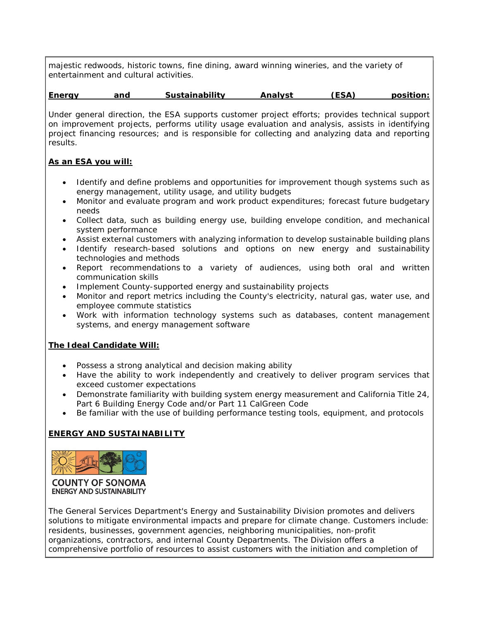majestic redwoods, historic towns, fine dining, award winning wineries, and the variety of entertainment and cultural activities.

#### **Energy and Sustainability Analyst (ESA) position:**

Under general direction, the ESA supports customer project efforts; provides technical support on improvement projects, performs utility usage evaluation and analysis, assists in identifying project financing resources; and is responsible for collecting and analyzing data and reporting results.

#### **As an ESA you will:**

- Identify and define problems and opportunities for improvement though systems such as energy management, utility usage, and utility budgets
- Monitor and evaluate program and work product expenditures; forecast future budgetary needs
- Collect data, such as building energy use, building envelope condition, and mechanical system performance
- Assist external customers with analyzing information to develop sustainable building plans
- Identify research-based solutions and options on new energy and sustainability technologies and methods
- Report recommendations to a variety of audiences, using both oral and written communication skills
- Implement County-supported energy and sustainability projects
- Monitor and report metrics including the County's electricity, natural gas, water use, and employee commute statistics
- Work with information technology systems such as databases, content management systems, and energy management software

#### **The Ideal Candidate Will:**

- Possess a strong analytical and decision making ability
- Have the ability to work independently and creatively to deliver program services that exceed customer expectations
- Demonstrate familiarity with building system energy measurement and California Title 24, Part 6 Building Energy Code and/or Part 11 CalGreen Code
- Be familiar with the use of building performance testing tools, equipment, and protocols

#### **ENERGY AND SUSTAINABILITY**



**COUNTY OF SONOMA ENERGY AND SUSTAINABILITY** 

The General Services Department's Energy and Sustainability Division promotes and delivers solutions to mitigate environmental impacts and prepare for climate change. Customers include: residents, businesses, government agencies, neighboring municipalities, non-profit organizations, contractors, and internal County Departments. The Division offers a comprehensive portfolio of resources to assist customers with the initiation and completion of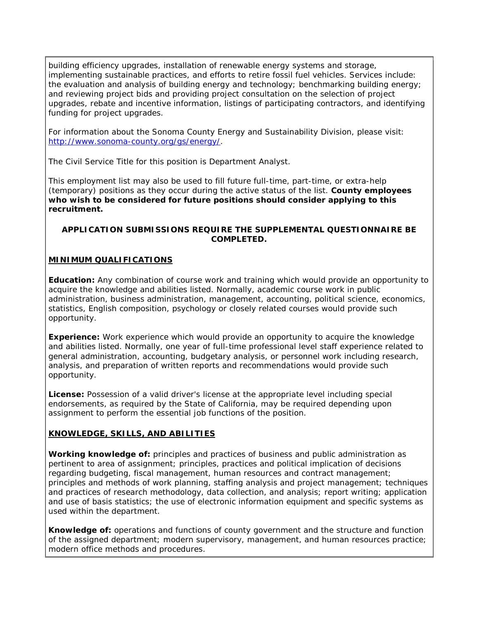building efficiency upgrades, installation of renewable energy systems and storage, implementing sustainable practices, and efforts to retire fossil fuel vehicles. Services include: the evaluation and analysis of building energy and technology; benchmarking building energy; and reviewing project bids and providing project consultation on the selection of project upgrades, rebate and incentive information, listings of participating contractors, and identifying funding for project upgrades.

For information about the Sonoma County Energy and Sustainability Division, please visit: [http://www.sonoma-county.org/gs/energy/.](http://www.sonoma-county.org/gs/energy/)

The Civil Service Title for this position is Department Analyst.

This employment list may also be used to fill future full-time, part-time, or extra-help (temporary) positions as they occur during the active status of the list. *County employees who wish to be considered for future positions should consider applying to this recruitment.*

#### **APPLICATION SUBMISSIONS REQUIRE THE SUPPLEMENTAL QUESTIONNAIRE BE COMPLETED.**

## **MINIMUM QUALIFICATIONS**

**Education:** Any combination of course work and training which would provide an opportunity to acquire the knowledge and abilities listed. Normally, academic course work in public administration, business administration, management, accounting, political science, economics, statistics, English composition, psychology or closely related courses would provide such opportunity.

**Experience:** Work experience which would provide an opportunity to acquire the knowledge and abilities listed. Normally, one year of full-time professional level staff experience related to general administration, accounting, budgetary analysis, or personnel work including research, analysis, and preparation of written reports and recommendations would provide such opportunity.

**License:** Possession of a valid driver's license at the appropriate level including special endorsements, as required by the State of California, may be required depending upon assignment to perform the essential job functions of the position.

#### **KNOWLEDGE, SKILLS, AND ABILITIES**

**Working knowledge of:** principles and practices of business and public administration as pertinent to area of assignment; principles, practices and political implication of decisions regarding budgeting, fiscal management, human resources and contract management; principles and methods of work planning, staffing analysis and project management; techniques and practices of research methodology, data collection, and analysis; report writing; application and use of basis statistics; the use of electronic information equipment and specific systems as used within the department.

**Knowledge of:** operations and functions of county government and the structure and function of the assigned department; modern supervisory, management, and human resources practice; modern office methods and procedures.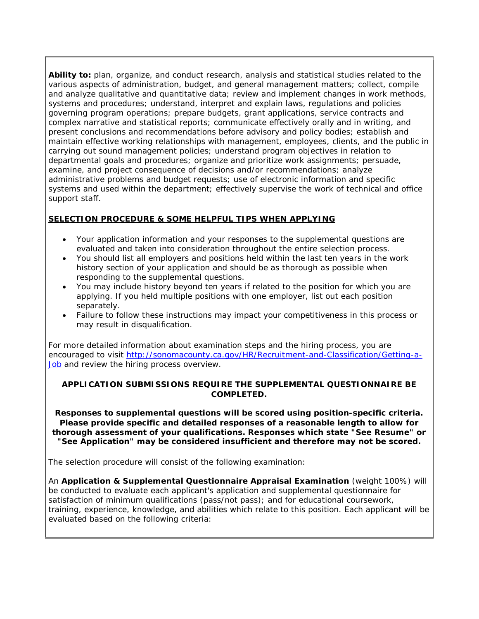**Ability to:** plan, organize, and conduct research, analysis and statistical studies related to the various aspects of administration, budget, and general management matters; collect, compile and analyze qualitative and quantitative data; review and implement changes in work methods, systems and procedures; understand, interpret and explain laws, regulations and policies governing program operations; prepare budgets, grant applications, service contracts and complex narrative and statistical reports; communicate effectively orally and in writing, and present conclusions and recommendations before advisory and policy bodies; establish and maintain effective working relationships with management, employees, clients, and the public in carrying out sound management policies; understand program objectives in relation to departmental goals and procedures; organize and prioritize work assignments; persuade, examine, and project consequence of decisions and/or recommendations; analyze administrative problems and budget requests; use of electronic information and specific systems and used within the department; effectively supervise the work of technical and office support staff.

## **SELECTION PROCEDURE & SOME HELPFUL TIPS WHEN APPLYING**

- Your application information and your responses to the supplemental questions are evaluated and taken into consideration throughout the entire selection process.
- You should list all employers and positions held within the last ten years in the work history section of your application and should be as thorough as possible when responding to the supplemental questions.
- You may include history beyond ten years if related to the position for which you are applying. If you held multiple positions with one employer, list out each position separately.
- Failure to follow these instructions may impact your competitiveness in this process or may result in disqualification.

For more detailed information about examination steps and the hiring process, you are encouraged to visit [http://sonomacounty.ca.gov/HR/Recruitment-and-Classification/Getting-a-](http://sonomacounty.ca.gov/HR/Recruitment-and-Classification/Getting-a-Job)[Job](http://sonomacounty.ca.gov/HR/Recruitment-and-Classification/Getting-a-Job) and review the hiring process overview.

#### **APPLICATION SUBMISSIONS REQUIRE THE SUPPLEMENTAL QUESTIONNAIRE BE COMPLETED.**

**Responses to supplemental questions will be scored using position-specific criteria. Please provide specific and detailed responses of a reasonable length to allow for thorough assessment of your qualifications. Responses which state "See Resume" or "See Application" may be considered insufficient and therefore may not be scored.**

The selection procedure will consist of the following examination:

An **Application & Supplemental Questionnaire Appraisal Examination** (weight 100%) will be conducted to evaluate each applicant's application and supplemental questionnaire for satisfaction of minimum qualifications (pass/not pass); and for educational coursework, training, experience, knowledge, and abilities which relate to this position. Each applicant will be evaluated based on the following criteria: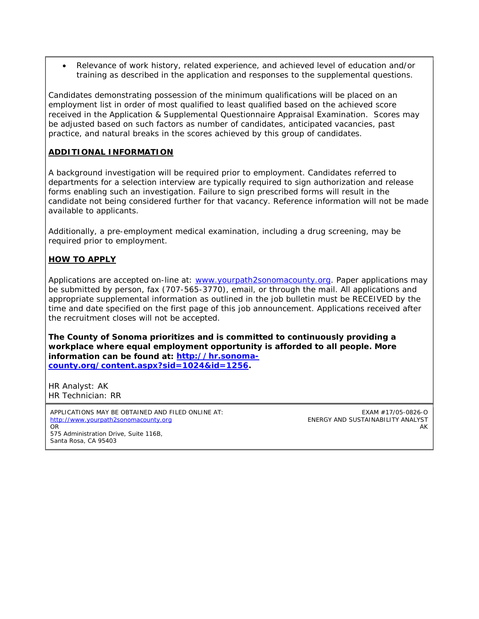• Relevance of work history, related experience, and achieved level of education and/or training as described in the application and responses to the supplemental questions.

Candidates demonstrating possession of the minimum qualifications will be placed on an employment list in order of most qualified to least qualified based on the achieved score received in the Application & Supplemental Questionnaire Appraisal Examination. Scores may be adjusted based on such factors as number of candidates, anticipated vacancies, past practice, and natural breaks in the scores achieved by this group of candidates.

#### **ADDITIONAL INFORMATION**

A background investigation will be required prior to employment. Candidates referred to departments for a selection interview are typically required to sign authorization and release forms enabling such an investigation. Failure to sign prescribed forms will result in the candidate not being considered further for that vacancy. Reference information will not be made available to applicants.

Additionally, a pre-employment medical examination, including a drug screening, may be required prior to employment.

#### **HOW TO APPLY**

Applications are accepted on-line at: [www.yourpath2sonomacounty.org.](http://www.yourpath2sonomacounty.org/) Paper applications may be submitted by person, fax (707-565-3770), email, or through the mail. All applications and appropriate supplemental information as outlined in the job bulletin must be RECEIVED by the time and date specified on the first page of this job announcement. Applications received after the recruitment closes will not be accepted.

**The County of Sonoma prioritizes and is committed to continuously providing a workplace where equal employment opportunity is afforded to all people. More information can be found at: [http://hr.sonoma](http://hr.sonoma-county.org/content.aspx?sid=1024&id=1256)[county.org/content.aspx?sid=1024&id=1256.](http://hr.sonoma-county.org/content.aspx?sid=1024&id=1256)**

HR Analyst: AK HR Technician: RR

APPLICATIONS MAY BE OBTAINED AND FILED ONLINE AT: [http://www.yourpath2sonomacounty.org](http://www.yourpath2sonomacounty.org/) OR 575 Administration Drive, Suite 116B, Santa Rosa, CA 95403

EXAM #17/05-0826-O ENERGY AND SUSTAINABILITY ANALYST AK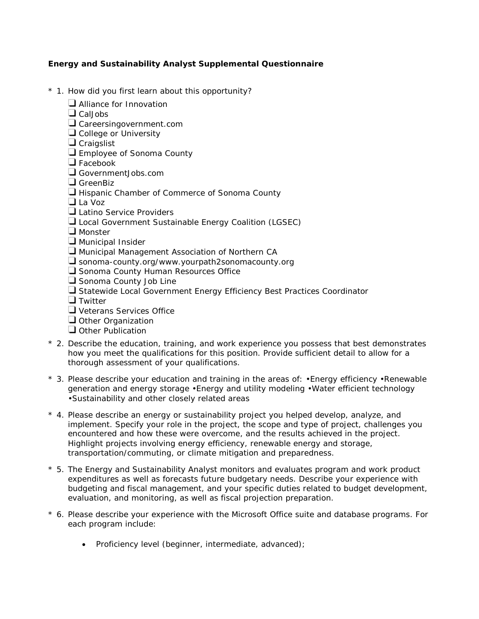#### **Energy and Sustainability Analyst Supplemental Questionnaire**

- \* 1. How did you first learn about this opportunity?
	- **Alliance for Innovation**
	- $\Box$  Cal Jobs
	- Careersingovernment.com
	- College or University
	- **Craigslist**
	- **Employee of Sonoma County**
	- $\Box$  Facebook
	- GovernmentJobs.com
	- GreenBiz
	- $\Box$  Hispanic Chamber of Commerce of Sonoma County
	- La Voz
	- Latino Service Providers
	- Local Government Sustainable Energy Coalition (LGSEC)
	- **U** Monster
	- $\Box$  Municipal Insider
	- **U** Municipal Management Association of Northern CA
	- $\square$  sonoma-county.org/www.yourpath2sonomacounty.org
	- Sonoma County Human Resources Office
	- Sonoma County Job Line
	- Statewide Local Government Energy Efficiency Best Practices Coordinator
	- **T** Twitter
	- **U** Veterans Services Office
	- $\Box$  Other Organization
	- Other Publication
- \* 2. Describe the education, training, and work experience you possess that best demonstrates how you meet the qualifications for this position. Provide sufficient detail to allow for a thorough assessment of your qualifications.
- \* 3. Please describe your education and training in the areas of: •Energy efficiency •Renewable generation and energy storage •Energy and utility modeling •Water efficient technology •Sustainability and other closely related areas
- \* 4. Please describe an energy or sustainability project you helped develop, analyze, and implement. Specify your role in the project, the scope and type of project, challenges you encountered and how these were overcome, and the results achieved in the project. Highlight projects involving energy efficiency, renewable energy and storage, transportation/commuting, or climate mitigation and preparedness.
- \* 5. The Energy and Sustainability Analyst monitors and evaluates program and work product expenditures as well as forecasts future budgetary needs. Describe your experience with budgeting and fiscal management, and your specific duties related to budget development, evaluation, and monitoring, as well as fiscal projection preparation.
- \* 6. Please describe your experience with the Microsoft Office suite and database programs. For each program include:
	- Proficiency level (beginner, intermediate, advanced);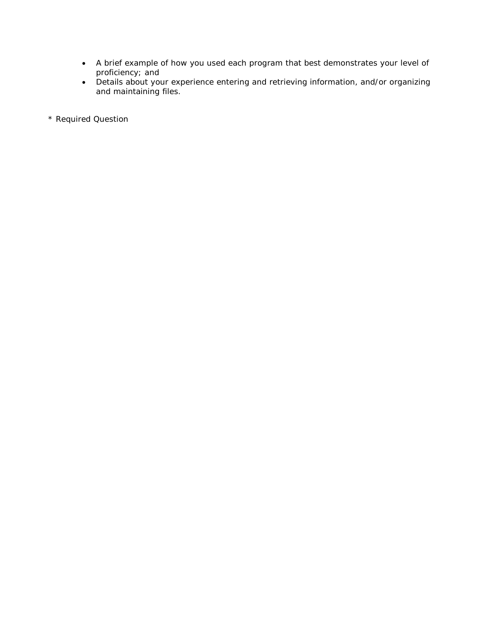- A brief example of how you used each program that best demonstrates your level of proficiency; and
- Details about your experience entering and retrieving information, and/or organizing and maintaining files.

\* Required Question